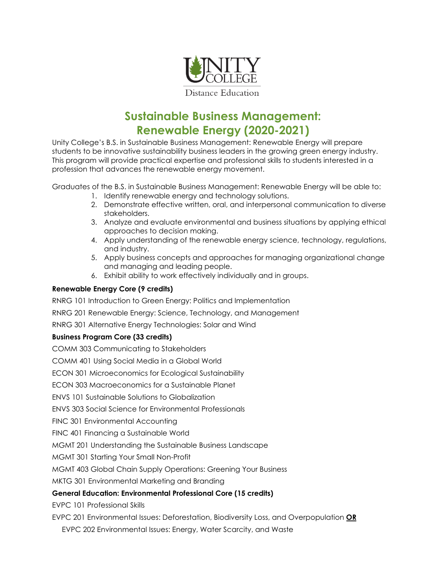

# **Sustainable Business Management: Renewable Energy (2020-2021)**

Unity College's B.S. in Sustainable Business Management: Renewable Energy will prepare students to be innovative sustainability business leaders in the growing green energy industry. This program will provide practical expertise and professional skills to students interested in a profession that advances the renewable energy movement.

Graduates of the B.S. in Sustainable Business Management: Renewable Energy will be able to:

- 1. Identify renewable energy and technology solutions.
- 2. Demonstrate effective written, oral, and interpersonal communication to diverse stakeholders.
- 3. Analyze and evaluate environmental and business situations by applying ethical approaches to decision making.
- 4. Apply understanding of the renewable energy science, technology, regulations, and industry.
- 5. Apply business concepts and approaches for managing organizational change and managing and leading people.
- 6. Exhibit ability to work effectively individually and in groups.

#### **Renewable Energy Core (9 credits)**

RNRG 101 Introduction to Green Energy: Politics and Implementation

RNRG 201 Renewable Energy: Science, Technology, and Management

RNRG 301 Alternative Energy Technologies: Solar and Wind

## **Business Program Core (33 credits)**

COMM 303 Communicating to Stakeholders

COMM 401 Using Social Media in a Global World

ECON 301 Microeconomics for Ecological Sustainability

ECON 303 Macroeconomics for a Sustainable Planet

ENVS 101 Sustainable Solutions to Globalization

ENVS 303 Social Science for Environmental Professionals

FINC 301 Environmental Accounting

FINC 401 Financing a Sustainable World

MGMT 201 Understanding the Sustainable Business Landscape

MGMT 301 Starting Your Small Non-Profit

MGMT 403 Global Chain Supply Operations: Greening Your Business

MKTG 301 Environmental Marketing and Branding

## **General Education: Environmental Professional Core (15 credits)**

EVPC 101 Professional Skills

EVPC 201 Environmental Issues: Deforestation, Biodiversity Loss, and Overpopulation **OR**

EVPC 202 Environmental Issues: Energy, Water Scarcity, and Waste